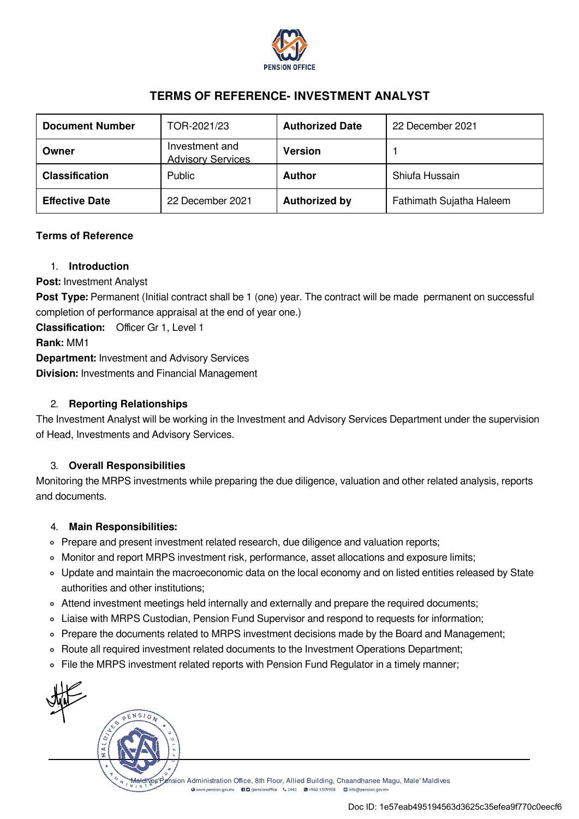

# TERMS OF REFERENCE- INVESTMENT ANALYST

| <b>Document Number</b> | TOR-2021/23                                | <b>Authorized Date</b> | 22 December 2021         |
|------------------------|--------------------------------------------|------------------------|--------------------------|
| Owner                  | Investment and<br><b>Advisory Services</b> | <b>Version</b>         |                          |
| <b>Classification</b>  | Public                                     | <b>Author</b>          | Shiufa Hussain           |
| <b>Effective Date</b>  | 22 December 2021                           | <b>Authorized by</b>   | Fathimath Sujatha Haleem |

#### Terms of Reference

### 1. Introduction

Post: Investment Analyst

Post Type: Permanent (Initial contract shall be 1 (one) year. The contract will be made permanent on successful completion of performance appraisal at the end of year one.)

Classification: Officer Gr 1, Level 1

Rank: MM1

Department: Investment and Advisory Services

Division: Investments and Financial Management

## 2. Reporting Relationships

The Investment Analyst will be working in the Investment and Advisory Services Department under the supervision of Head, Investments and Advisory Services.

## 3. Overall Responsibilities

Monitoring the MRPS investments while preparing the due diligence, valuation and other related analysis, reports and documents.

#### 4. Main Responsibilities:

- Prepare and present investment related research, due diligence and valuation reports;
- Monitor and report MRPS investment risk, performance, asset allocations and exposure limits;
- Update and maintain the macroeconomic data on the local economy and on listed entities released by State authorities and other institutions;
- Attend investment meetings held internally and externally and prepare the required documents;
- Liaise with MRPS Custodian, Pension Fund Supervisor and respond to requests for information;
- Prepare the documents related to MRPS investment decisions made by the Board and Management;
- Route all required investment related documents to the Investment Operations Department;
- File the MRPS investment related reports with Pension Fund Regulator in a timely manner;

Maldives Pension Administration Office, 8th Floor, Allied Building, Chaandhanee Magu, Male' Maldives Www.pension.gov.mv **60**/pensionoffice \1441 **9**+960 3309908 **D** info@pension.gov.m